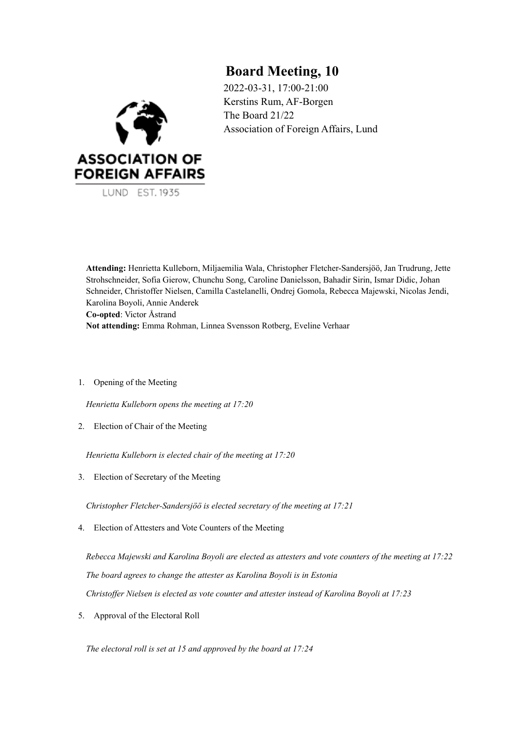# **Board Meeting, 10**

2022-03-31, 17:00-21:00 Kerstins Rum, AF-Borgen The Board 21/22 Association of Foreign Affairs, Lund



**Attending:** Henrietta Kulleborn, Miljaemilia Wala, Christopher Fletcher-Sandersjöö, Jan Trudrung, Jette Strohschneider, Sofia Gierow, Chunchu Song, Caroline Danielsson, Bahadir Sirin, Ismar Didic, Johan Schneider, Christoffer Nielsen, Camilla Castelanelli, Ondrej Gomola, Rebecca Majewski, Nicolas Jendi, Karolina Boyoli, Annie Anderek **Co-opted**: Victor Åstrand **Not attending:** Emma Rohman, Linnea Svensson Rotberg, Eveline Verhaar

1. Opening of the Meeting

*Henrietta Kulleborn opens the meeting at 17:20*

2. Election of Chair of the Meeting

*Henrietta Kulleborn is elected chair of the meeting at 17:20*

3. Election of Secretary of the Meeting

*Christopher Fletcher-Sandersjöö is elected secretary of the meeting at 17:21*

4. Election of Attesters and Vote Counters of the Meeting

*Rebecca Majewski and Karolina Boyoli are elected as attesters and vote counters of the meeting at 17:22 The board agrees to change the attester as Karolina Boyoli is in Estonia Christof er Nielsen is elected as vote counter and attester instead of Karolina Boyoli at 17:23*

5. Approval of the Electoral Roll

*The electoral roll is set at 15 and approved by the board at 17:24*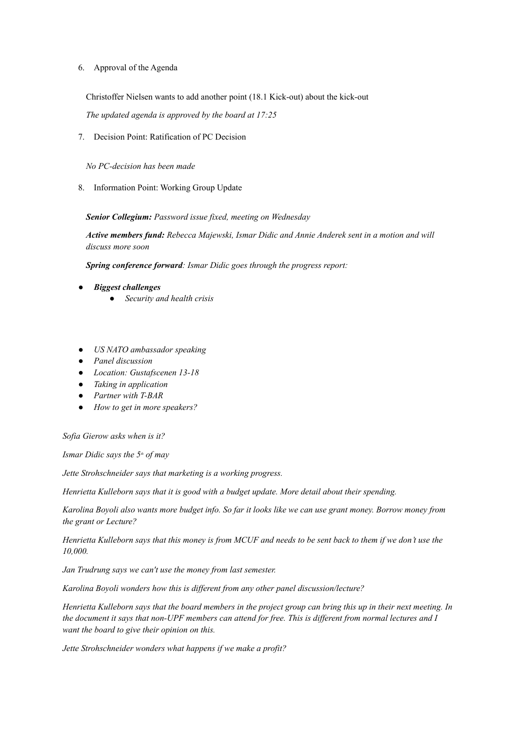## 6. Approval of the Agenda

Christoffer Nielsen wants to add another point (18.1 Kick-out) about the kick-out *The updated agenda is approved by the board at 17:25*

7. Decision Point: Ratification of PC Decision

*No PC-decision has been made*

8. Information Point: Working Group Update

*Senior Collegium: Password issue fixed, meeting on Wednesday*

*Active members fund: Rebecca Majewski, Ismar Didic and Annie Anderek sent in a motion and will discuss more soon*

*Spring conference forward: Ismar Didic goes through the progress report:*

- *Biggest challenges*
	- *Security and health crisis*
- *US NATO ambassador speaking*
- *Panel discussion*
- *Location: Gustafscenen 13-18*
- *Taking in application*
- *Partner with T-BAR*
- *How to get in more speakers?*

*Sofia Gierow asks when is it?*

*Ismar Didic says the 5 th of may*

*Jette Strohschneider says that marketing is a working progress.*

*Henrietta Kulleborn says that it is good with a budget update. More detail about their spending.*

Karolina Boyoli also wants more budget info. So far it looks like we can use grant money. Borrow money from *the grant or Lecture?*

Henrietta Kulleborn says that this money is from MCUF and needs to be sent back to them if we don't use the *10,000.*

*Jan Trudrung says we can't use the money from last semester.*

*Karolina Boyoli wonders how this is dif erent from any other panel discussion/lecture?*

Henrietta Kulleborn says that the board members in the project group can bring this up in their next meeting. In the document it says that non-UPF members can attend for free. This is different from normal lectures and I *want the board to give their opinion on this.*

*Jette Strohschneider wonders what happens if we make a profit?*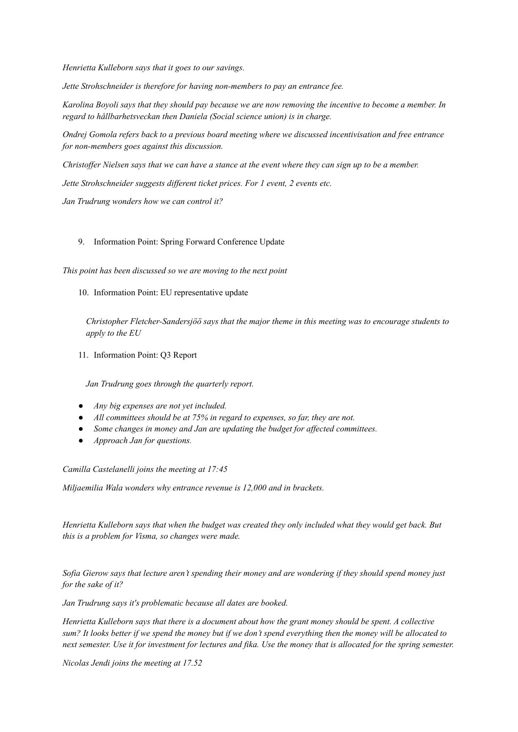*Henrietta Kulleborn says that it goes to our savings.*

*Jette Strohschneider is therefore for having non-members to pay an entrance fee.*

Karolina Boyoli says that they should pay because we are now removing the incentive to become a member. In *regard to hållbarhetsveckan then Daniela (Social science union) is in charge.*

*Ondrej Gomola refers back to a previous board meeting where we discussed incentivisation and free entrance for non-members goes against this discussion.*

Christoffer Nielsen says that we can have a stance at the event where they can sign up to be a member.

*Jette Strohschneider suggests dif erent ticket prices. For 1 event, 2 events etc.*

*Jan Trudrung wonders how we can control it?*

#### 9. Information Point: Spring Forward Conference Update

*This point has been discussed so we are moving to the next point*

#### 10. Information Point: EU representative update

*Christopher Fletcher-Sandersjöö says that the major theme in this meeting was to encourage students to apply to the EU*

11. Information Point: Q3 Report

*Jan Trudrung goes through the quarterly report.*

- *Any big expenses are not yet included.*
- *All committees should be at 75% in regard to expenses, so far, they are not.*
- *Some changes in money and Jan are updating the budget for af ected committees.*
- *Approach Jan for questions.*

*Camilla Castelanelli joins the meeting at 17:45*

*Miljaemilia Wala wonders why entrance revenue is 12,000 and in brackets.*

Henrietta Kulleborn says that when the budget was created they only included what they would get back. But *this is a problem for Visma, so changes were made.*

Sofia Gierow says that lecture aren't spending their money and are wondering if they should spend money just *for the sake of it?*

*Jan Trudrung says it's problematic because all dates are booked.*

Henrietta Kulleborn says that there is a document about how the grant money should be spent. A collective sum? It looks better if we spend the money but if we don't spend everything then the money will be allocated to next semester. Use it for investment for lectures and fika. Use the money that is allocated for the spring semester.

*Nicolas Jendi joins the meeting at 17.52*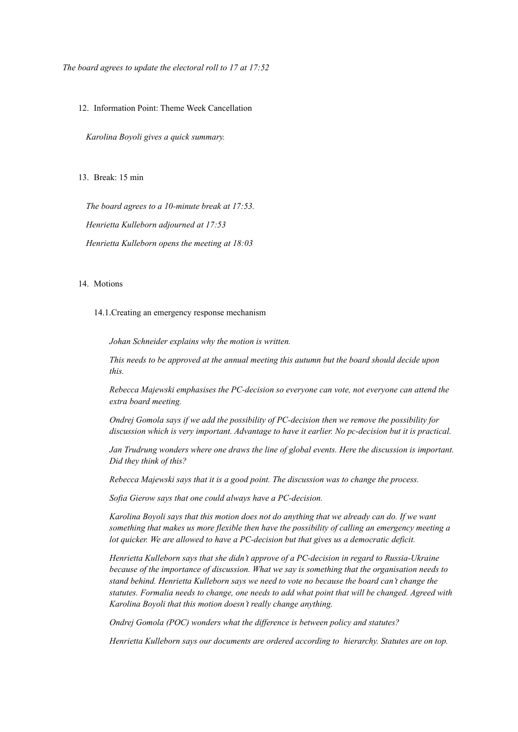*The board agrees to update the electoral roll to 17 at 17:52*

12. Information Point: Theme Week Cancellation

*Karolina Boyoli gives a quick summary.*

13. Break: 15 min

*The board agrees to a 10-minute break at 17:53. Henrietta Kulleborn adjourned at 17:53 Henrietta Kulleborn opens the meeting at 18:03*

#### 14 Motions

14.1.Creating an emergency response mechanism

*Johan Schneider explains why the motion is written.*

*This needs to be approved at the annual meeting this autumn but the board should decide upon this.*

*Rebecca Majewski emphasises the PC-decision so everyone can vote, not everyone can attend the extra board meeting.*

*Ondrej Gomola says if we add the possibility of PC-decision then we remove the possibility for discussion which is very important. Advantage to have it earlier. No pc-decision but it is practical.*

*Jan Trudrung wonders where one draws the line of global events. Here the discussion is important. Did they think of this?*

*Rebecca Majewski says that it is a good point. The discussion was to change the process.*

*Sofia Gierow says that one could always have a PC-decision.*

*Karolina Boyoli says that this motion does not do anything that we already can do. If we want something that makes us more flexible then have the possibility of calling an emergency meeting a lot quicker. We are allowed to have a PC-decision but that gives us a democratic deficit.*

*Henrietta Kulleborn says that she didn't approve of a PC-decision in regard to Russia-Ukraine because of the importance of discussion. What we say is something that the organisation needs to stand behind. Henrietta Kulleborn says we need to vote no because the board can't change the statutes. Formalia needs to change, one needs to add what point that will be changed. Agreed with Karolina Boyoli that this motion doesn't really change anything.*

*Ondrej Gomola (POC) wonders what the dif erence is between policy and statutes?*

*Henrietta Kulleborn says our documents are ordered according to hierarchy. Statutes are on top.*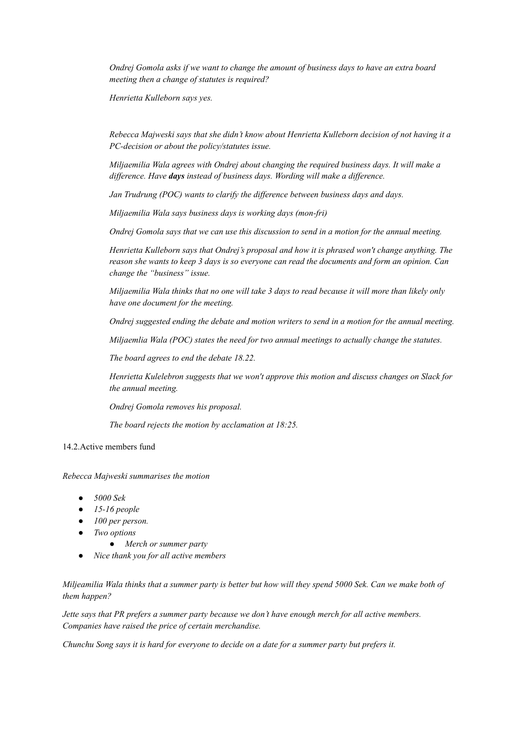*Ondrej Gomola asks if we want to change the amount of business days to have an extra board meeting then a change of statutes is required?*

*Henrietta Kulleborn says yes.*

*Rebecca Majweski says that she didn't know about Henrietta Kulleborn decision of not having it a PC-decision or about the policy/statutes issue.*

*Miljaemilia Wala agrees with Ondrej about changing the required business days. It will make a dif erence. Have days instead of business days. Wording will make a dif erence.*

*Jan Trudrung (POC) wants to clarify the dif erence between business days and days.*

*Miljaemilia Wala says business days is working days (mon-fri)*

*Ondrej Gomola says that we can use this discussion to send in a motion for the annual meeting.*

*Henrietta Kulleborn says that Ondrej's proposal and how it is phrased won't change anything. The* reason she wants to keep 3 days is so everyone can read the documents and form an opinion. Can *change the "business" issue.*

Miljaemilia Wala thinks that no one will take 3 days to read because it will more than likely only *have one document for the meeting.*

*Ondrej suggested ending the debate and motion writers to send in a motion for the annual meeting.*

*Miljaemlia Wala (POC) states the need for two annual meetings to actually change the statutes.*

*The board agrees to end the debate 18.22.*

*Henrietta Kulelebron suggests that we won't approve this motion and discuss changes on Slack for the annual meeting.*

*Ondrej Gomola removes his proposal.*

*The board rejects the motion by acclamation at 18:25.*

## 14.2.Active members fund

*Rebecca Majweski summarises the motion*

- *5000 Sek*
- *15-16 people*
- *100 per person.*
- *Two options*
	- *Merch or summer party*
- *Nice thank you for all active members*

Miljeamilia Wala thinks that a summer party is better but how will they spend 5000 Sek. Can we make both of *them happen?*

Jette says that PR prefers a summer party because we don't have enough merch for all active members. *Companies have raised the price of certain merchandise.*

Chunchu Song says it is hard for everyone to decide on a date for a summer party but prefers it.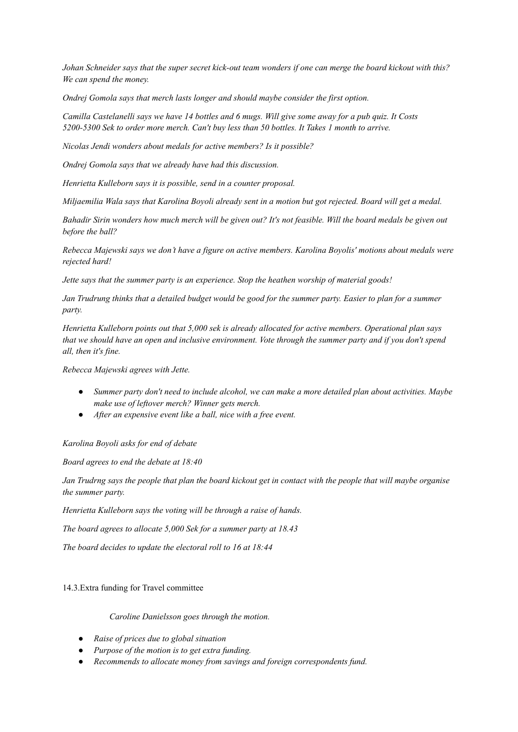Johan Schneider says that the super secret kick-out team wonders if one can merge the board kickout with this? *We can spend the money.*

*Ondrej Gomola says that merch lasts longer and should maybe consider the first option.*

Camilla Castelanelli says we have 14 bottles and 6 mugs. Will give some away for a pub quiz. It Costs *5200-5300 Sek to order more merch. Can't buy less than 50 bottles. It Takes 1 month to arrive.*

*Nicolas Jendi wonders about medals for active members? Is it possible?*

*Ondrej Gomola says that we already have had this discussion.*

*Henrietta Kulleborn says it is possible, send in a counter proposal.*

Miljaemilia Wala says that Karolina Boyoli already sent in a motion but got rejected. Board will get a medal.

Bahadir Sirin wonders how much merch will be given out? It's not feasible. Will the board medals be given out *before the ball?*

Rebecca Majewski says we don't have a figure on active members. Karolina Boyolis' motions about medals were *rejected hard!*

*Jette says that the summer party is an experience. Stop the heathen worship of material goods!*

Jan Trudrung thinks that a detailed budget would be good for the summer party. Easier to plan for a summer *party.*

*Henrietta Kulleborn points out that 5,000 sek is already allocated for active members. Operational plan says* that we should have an open and inclusive environment. Vote through the summer party and if you don't spend *all, then it's fine.*

*Rebecca Majewski agrees with Jette.*

- *Summer party don't need to include alcohol, we can make a more detailed plan about activities. Maybe make use of leftover merch? Winner gets merch.*
- *After an expensive event like a ball, nice with a free event.*

### *Karolina Boyoli asks for end of debate*

*Board agrees to end the debate at 18:40*

Jan Trudrng says the people that plan the board kickout get in contact with the people that will maybe organise *the summer party.*

*Henrietta Kulleborn says the voting will be through a raise of hands.*

*The board agrees to allocate 5,000 Sek for a summer party at 18.43*

*The board decides to update the electoral roll to 16 at 18:44*

### 14.3.Extra funding for Travel committee

*Caroline Danielsson goes through the motion.*

- *● Raise of prices due to global situation*
- *● Purpose of the motion is to get extra funding.*
- *● Recommends to allocate money from savings and foreign correspondents fund.*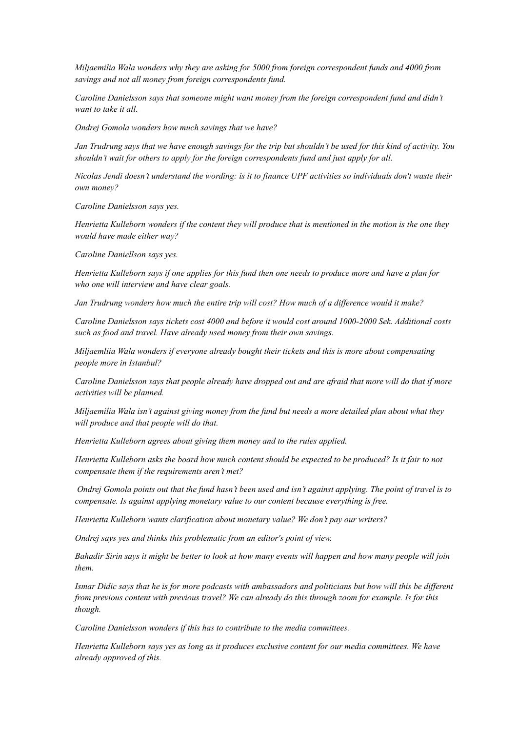*Miljaemilia Wala wonders why they are asking for 5000 from foreign correspondent funds and 4000 from savings and not all money from foreign correspondents fund.*

*Caroline Danielsson says that someone might want money from the foreign correspondent fund and didn't want to take it all.*

*Ondrej Gomola wonders how much savings that we have?*

Jan Trudrung says that we have enough savings for the trip but shouldn't be used for this kind of activity. You *shouldn't wait for others to apply for the foreign correspondents fund and just apply for all.*

Nicolas Jendi doesn't understand the wording: is it to finance UPF activities so individuals don't waste their *own money?*

*Caroline Danielsson says yes.*

Henrietta Kulleborn wonders if the content they will produce that is mentioned in the motion is the one they *would have made either way?*

*Caroline Daniellson says yes.*

Henrietta Kulleborn says if one applies for this fund then one needs to produce more and have a plan for *who one will interview and have clear goals.*

Jan Trudrung wonders how much the entire trip will cost? How much of a difference would it make?

*Caroline Danielsson says tickets cost 4000 and before it would cost around 1000-2000 Sek. Additional costs such as food and travel. Have already used money from their own savings.*

*Miljaemliia Wala wonders if everyone already bought their tickets and this is more about compensating people more in Istanbul?*

Caroline Danielsson says that people already have dropped out and are afraid that more will do that if more *activities will be planned.*

Miljaemilia Wala isn't against giving money from the fund but needs a more detailed plan about what they *will produce and that people will do that.*

*Henrietta Kulleborn agrees about giving them money and to the rules applied.*

Henrietta Kulleborn asks the board how much content should be expected to be produced? Is it fair to not *compensate them if the requirements aren't met?*

Ondrej Gomola points out that the fund hasn't been used and isn't against applying. The point of travel is to *compensate. Is against applying monetary value to our content because everything is free.*

*Henrietta Kulleborn wants clarification about monetary value? We don't pay our writers?*

*Ondrej says yes and thinks this problematic from an editor's point of view.*

Bahadir Sirin says it might be better to look at how many events will happen and how many people will join *them.*

Ismar Didic says that he is for more podcasts with ambassadors and politicians but how will this be different from previous content with previous travel? We can already do this through zoom for example. Is for this *though.*

*Caroline Danielsson wonders if this has to contribute to the media committees.*

*Henrietta Kulleborn says yes as long as it produces exclusive content for our media committees. We have already approved of this.*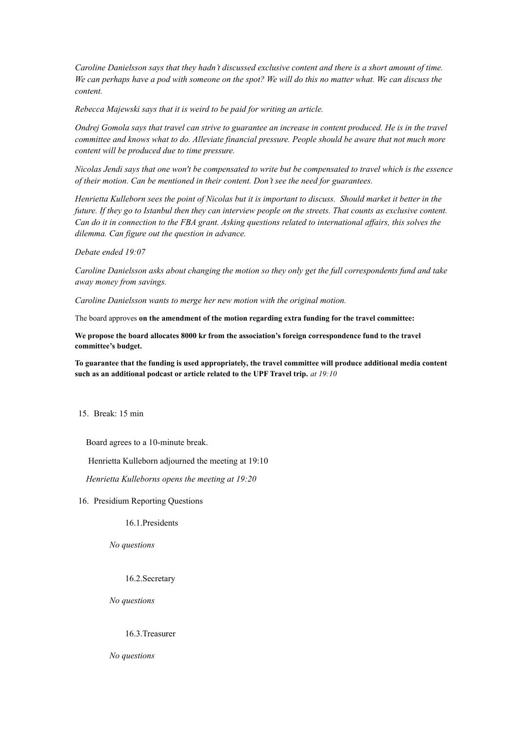Caroline Danielsson says that they hadn't discussed exclusive content and there is a short amount of time. We can perhaps have a pod with someone on the spot? We will do this no matter what. We can discuss the *content.*

*Rebecca Majewski says that it is weird to be paid for writing an article.*

Ondrej Gomola says that travel can strive to guarantee an increase in content produced. He is in the travel *committee and knows what to do. Alleviate financial pressure. People should be aware that not much more content will be produced due to time pressure.*

Nicolas Jendi says that one won't be compensated to write but be compensated to travel which is the essence *of their motion. Can be mentioned in their content. Don't see the need for guarantees.*

Henrietta Kulleborn sees the point of Nicolas but it is important to discuss. Should market it better in the future. If they go to Istanbul then they can interview people on the streets. That counts as exclusive content. Can do it in connection to the FBA grant. Asking questions related to international affairs, this solves the *dilemma. Can figure out the question in advance.*

*Debate ended 19:07*

*Caroline Danielsson asks about changing the motion so they only get the full correspondents fund and take away money from savings.*

*Caroline Danielsson wants to merge her new motion with the original motion.*

The board approves **on the amendment of the motion regarding extra funding for the travel committee:**

**We propose the board allocates 8000 kr from the association's foreign correspondence fund to the travel committee's budget.**

**To guarantee that the funding is used appropriately, the travel committee will produce additional media content such as an additional podcast or article related to the UPF Travel trip.** *at 19:10*

15. Break: 15 min

Board agrees to a 10-minute break.

Henrietta Kulleborn adjourned the meeting at 19:10

*Henrietta Kulleborns opens the meeting at 19:20*

16. Presidium Reporting Questions

16.1.Presidents

*No questions*

16.2.Secretary

*No questions*

16.3.Treasurer

*No questions*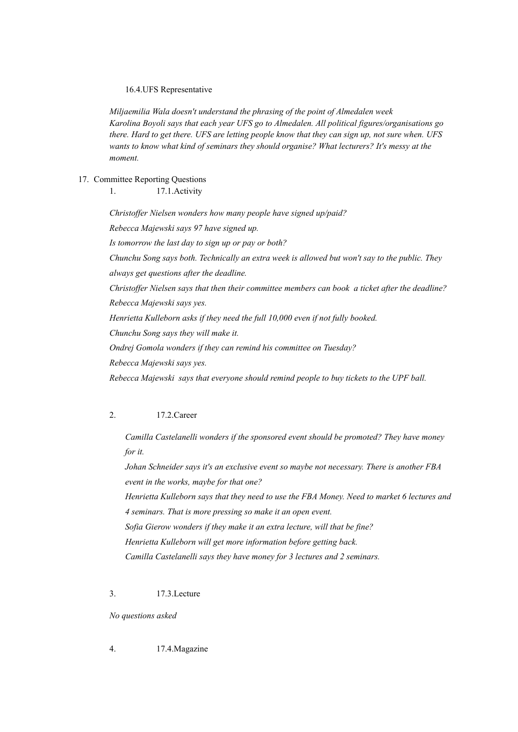16.4.UFS Representative

*Miljaemilia Wala doesn't understand the phrasing of the point of Almedalen week Karolina Boyoli says that each year UFS go to Almedalen. All political figures/organisations go* there. Hard to get there. UFS are letting people know that they can sign up, not sure when. UFS *wants to know what kind of seminars they should organise? What lecturers? It's messy at the moment.*

17. Committee Reporting Questions

1. 17.1.Activity

*Christoffer Nielsen wonders how many people have signed up/paid? Rebecca Majewski says 97 have signed up. Is tomorrow the last day to sign up or pay or both? Chunchu Song says both. Technically an extra week is allowed but won't say to the public. They always get questions after the deadline. Christof er Nielsen says that then their committee members can book a ticket after the deadline? Rebecca Majewski says yes. Henrietta Kulleborn asks if they need the full 10,000 even if not fully booked. Chunchu Song says they will make it. Ondrej Gomola wonders if they can remind his committee on Tuesday? Rebecca Majewski says yes. Rebecca Majewski says that everyone should remind people to buy tickets to the UPF ball.*

# 2. 17.2.Career

*Camilla Castelanelli wonders if the sponsored event should be promoted? They have money for it.*

*Johan Schneider says it's an exclusive event so maybe not necessary. There is another FBA event in the works, maybe for that one? Henrietta Kulleborn says that they need to use the FBA Money. Need to market 6 lectures and 4 seminars. That is more pressing so make it an open event. Sofia Gierow wonders if they make it an extra lecture, will that be fine? Henrietta Kulleborn will get more information before getting back. Camilla Castelanelli says they have money for 3 lectures and 2 seminars.*

3. 17.3.Lecture

*No questions asked*

4. 17.4.Magazine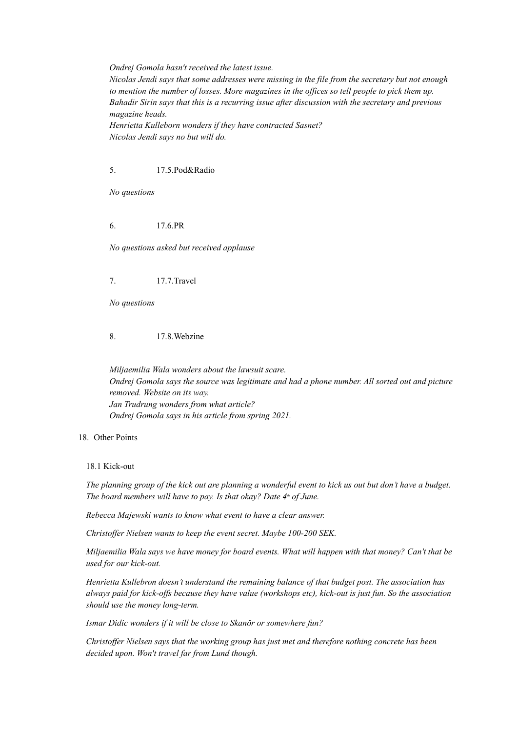*Ondrej Gomola hasn't received the latest issue.*

*Nicolas Jendi says that some addresses were missing in the file from the secretary but not enough* to mention the number of losses. More magazines in the offices so tell people to pick them up. *Bahadir Sirin says that this is a recurring issue after discussion with the secretary and previous magazine heads.*

*Henrietta Kulleborn wonders if they have contracted Sasnet? Nicolas Jendi says no but will do.*

## 5. 17.5.Pod&Radio

*No questions*

# 6. 17.6.PR

*No questions asked but received applause*

7. 17.7.Travel

*No questions*

8. 17.8.Webzine

*Miljaemilia Wala wonders about the lawsuit scare. Ondrej Gomola says the source was legitimate and had a phone number. All sorted out and picture removed. Website on its way. Jan Trudrung wonders from what article? Ondrej Gomola says in his article from spring 2021.*

### 18. Other Points

#### 18.1 Kick-out

The planning group of the kick out are planning a wonderful event to kick us out but don't have a budget. *The board members will have to pay. Is that okay? Date 4 th of June.*

*Rebecca Majewski wants to know what event to have a clear answer.*

*Christoffer Nielsen wants to keep the event secret. Maybe 100-200 SEK.* 

Miljaemilia Wala says we have money for board events. What will happen with that money? Can't that be *used for our kick-out.*

*Henrietta Kullebron doesn't understand the remaining balance of that budget post. The association has* always paid for kick-offs because they have value (workshops etc), kick-out is just fun. So the association *should use the money long-term.*

*Ismar Didic wonders if it will be close to Skanör or somewhere fun?*

*Christof er Nielsen says that the working group has just met and therefore nothing concrete has been decided upon. Won't travel far from Lund though.*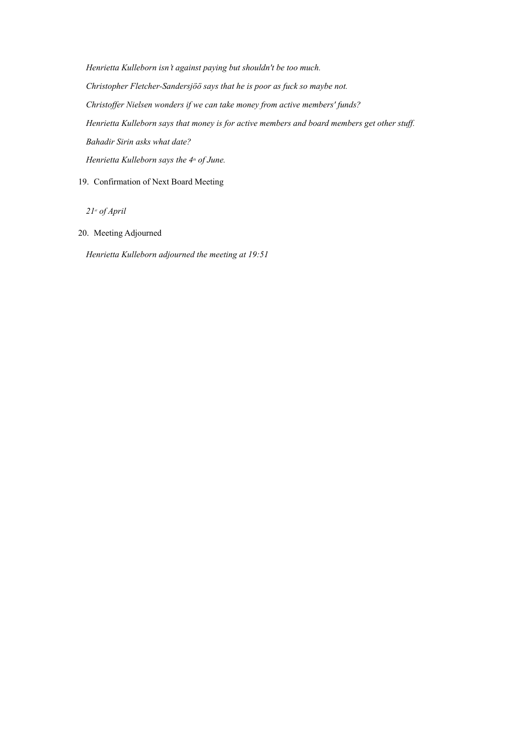*Henrietta Kulleborn isn't against paying but shouldn't be too much. Christopher Fletcher-Sandersjöö says that he is poor as fuck so maybe not. Christof er Nielsen wonders if we can take money from active members' funds? Henrietta Kulleborn says that money is for active members and board members get other stuf . Bahadir Sirin asks what date? Henrietta Kulleborn says the 4 th of June.*

# 19. Confirmation of Next Board Meeting

*21 st of April*

20. Meeting Adjourned

*Henrietta Kulleborn adjourned the meeting at 19:51*